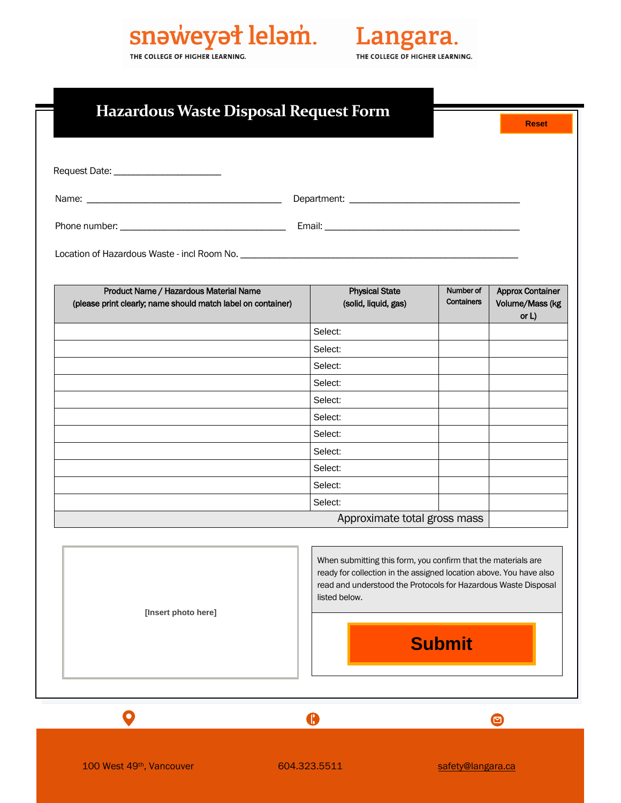## snəweyət leləm. THE COLLEGE OF HIGHER LEARNING.

Langara. THE COLLEGE OF HIGHER LEARNING.

|                                                                                                        |                                                                                                                                                                                                                        |                         | <b>Reset</b>                               |
|--------------------------------------------------------------------------------------------------------|------------------------------------------------------------------------------------------------------------------------------------------------------------------------------------------------------------------------|-------------------------|--------------------------------------------|
|                                                                                                        |                                                                                                                                                                                                                        |                         |                                            |
|                                                                                                        |                                                                                                                                                                                                                        |                         |                                            |
|                                                                                                        |                                                                                                                                                                                                                        |                         |                                            |
|                                                                                                        |                                                                                                                                                                                                                        |                         |                                            |
|                                                                                                        |                                                                                                                                                                                                                        |                         |                                            |
|                                                                                                        |                                                                                                                                                                                                                        |                         |                                            |
| Product Name / Hazardous Material Name<br>(please print clearly; name should match label on container) | <b>Physical State</b><br>(solid, liquid, gas)                                                                                                                                                                          | Number of<br>Containers | <b>Approx Container</b><br>Volume/Mass (kg |
|                                                                                                        | Select:                                                                                                                                                                                                                |                         | or $L$ )                                   |
|                                                                                                        | Select:                                                                                                                                                                                                                |                         |                                            |
|                                                                                                        | Select:                                                                                                                                                                                                                |                         |                                            |
|                                                                                                        | Select:                                                                                                                                                                                                                |                         |                                            |
|                                                                                                        | Select:                                                                                                                                                                                                                |                         |                                            |
|                                                                                                        | Select:                                                                                                                                                                                                                |                         |                                            |
|                                                                                                        | Select:                                                                                                                                                                                                                |                         |                                            |
|                                                                                                        | Select:                                                                                                                                                                                                                |                         |                                            |
|                                                                                                        | Select:                                                                                                                                                                                                                |                         |                                            |
|                                                                                                        | Select:                                                                                                                                                                                                                |                         |                                            |
|                                                                                                        | Select:                                                                                                                                                                                                                |                         |                                            |
|                                                                                                        | Approximate total gross mass                                                                                                                                                                                           |                         |                                            |
| [Insert photo here]                                                                                    | When submitting this form, you confirm that the materials are<br>ready for collection in the assigned location above. You have also<br>read and understood the Protocols for Hazardous Waste Disposal<br>listed below. |                         |                                            |
|                                                                                                        | <b>Submit</b>                                                                                                                                                                                                          |                         |                                            |

100 West 49th, Vancouver 604.323.5511 safety[@langara.ca](mailto:facilities@langara.ca)